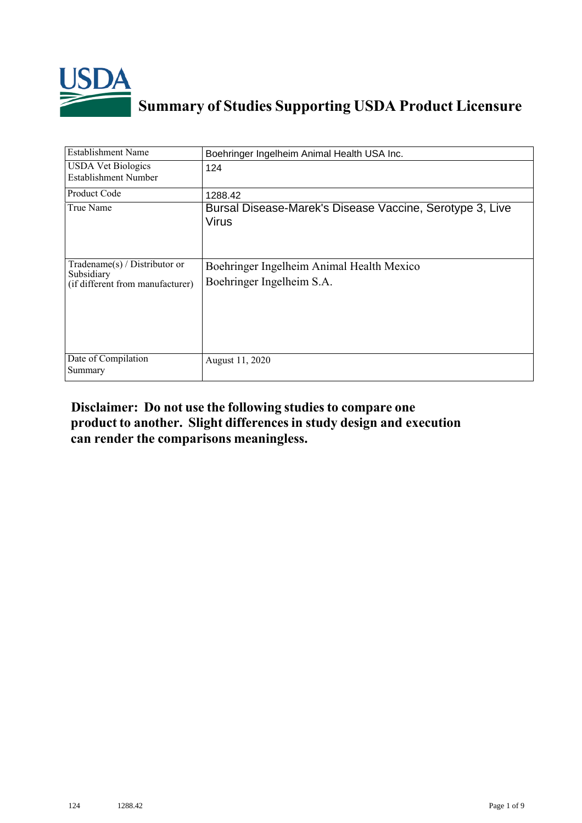

## **Summary of Studies Supporting USDA Product Licensure**

| <b>Establishment Name</b>                                                          | Boehringer Ingelheim Animal Health USA Inc.                            |
|------------------------------------------------------------------------------------|------------------------------------------------------------------------|
| <b>USDA Vet Biologics</b><br>Establishment Number                                  | 124                                                                    |
| <b>Product Code</b>                                                                | 1288.42                                                                |
| True Name                                                                          | Bursal Disease-Marek's Disease Vaccine, Serotype 3, Live<br>Virus      |
| Tradename $(s)$ / Distributor or<br>Subsidiary<br>(if different from manufacturer) | Boehringer Ingelheim Animal Health Mexico<br>Boehringer Ingelheim S.A. |
| Date of Compilation<br>Summary                                                     | August 11, 2020                                                        |

## **Disclaimer: Do not use the following studiesto compare one product to another. Slight differencesin study design and execution can render the comparisons meaningless.**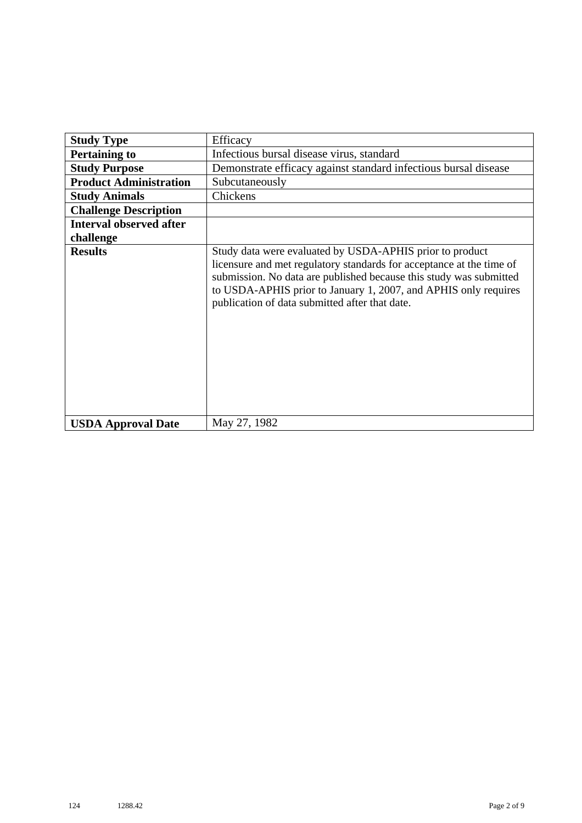| <b>Study Type</b>              | Efficacy                                                                                                                                                                                                                                                                                                                    |
|--------------------------------|-----------------------------------------------------------------------------------------------------------------------------------------------------------------------------------------------------------------------------------------------------------------------------------------------------------------------------|
| <b>Pertaining to</b>           | Infectious bursal disease virus, standard                                                                                                                                                                                                                                                                                   |
| <b>Study Purpose</b>           | Demonstrate efficacy against standard infectious bursal disease                                                                                                                                                                                                                                                             |
| <b>Product Administration</b>  | Subcutaneously                                                                                                                                                                                                                                                                                                              |
| <b>Study Animals</b>           | Chickens                                                                                                                                                                                                                                                                                                                    |
| <b>Challenge Description</b>   |                                                                                                                                                                                                                                                                                                                             |
| <b>Interval observed after</b> |                                                                                                                                                                                                                                                                                                                             |
| challenge                      |                                                                                                                                                                                                                                                                                                                             |
| <b>Results</b>                 | Study data were evaluated by USDA-APHIS prior to product<br>licensure and met regulatory standards for acceptance at the time of<br>submission. No data are published because this study was submitted<br>to USDA-APHIS prior to January 1, 2007, and APHIS only requires<br>publication of data submitted after that date. |
| <b>USDA Approval Date</b>      | May 27, 1982                                                                                                                                                                                                                                                                                                                |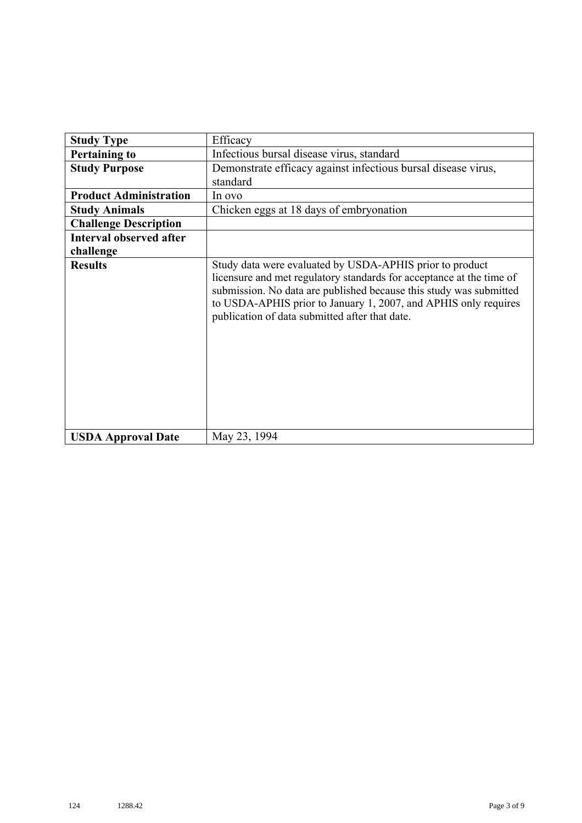| <b>Study Type</b>              | Efficacy                                                                                                                                                                                                                                                                                                                    |
|--------------------------------|-----------------------------------------------------------------------------------------------------------------------------------------------------------------------------------------------------------------------------------------------------------------------------------------------------------------------------|
|                                |                                                                                                                                                                                                                                                                                                                             |
| <b>Pertaining to</b>           | Infectious bursal disease virus, standard                                                                                                                                                                                                                                                                                   |
| <b>Study Purpose</b>           | Demonstrate efficacy against infectious bursal disease virus,                                                                                                                                                                                                                                                               |
|                                | standard                                                                                                                                                                                                                                                                                                                    |
| <b>Product Administration</b>  | In ovo                                                                                                                                                                                                                                                                                                                      |
| <b>Study Animals</b>           | Chicken eggs at 18 days of embryonation                                                                                                                                                                                                                                                                                     |
| <b>Challenge Description</b>   |                                                                                                                                                                                                                                                                                                                             |
| <b>Interval observed after</b> |                                                                                                                                                                                                                                                                                                                             |
| challenge                      |                                                                                                                                                                                                                                                                                                                             |
| <b>Results</b>                 | Study data were evaluated by USDA-APHIS prior to product<br>licensure and met regulatory standards for acceptance at the time of<br>submission. No data are published because this study was submitted<br>to USDA-APHIS prior to January 1, 2007, and APHIS only requires<br>publication of data submitted after that date. |
| <b>USDA Approval Date</b>      | May 23, 1994                                                                                                                                                                                                                                                                                                                |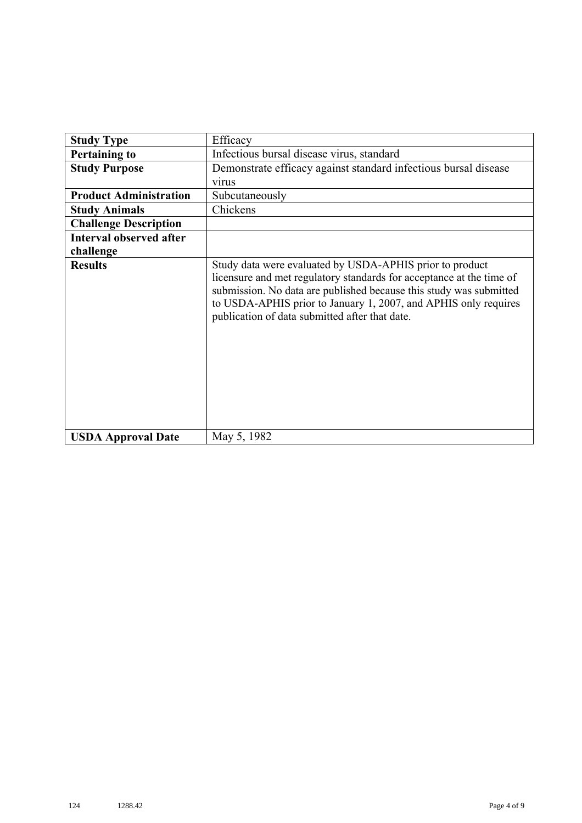| <b>Study Type</b>              | Efficacy                                                                                                                                                                                                                                                                                                                    |
|--------------------------------|-----------------------------------------------------------------------------------------------------------------------------------------------------------------------------------------------------------------------------------------------------------------------------------------------------------------------------|
| <b>Pertaining to</b>           | Infectious bursal disease virus, standard                                                                                                                                                                                                                                                                                   |
| <b>Study Purpose</b>           | Demonstrate efficacy against standard infectious bursal disease                                                                                                                                                                                                                                                             |
|                                | virus                                                                                                                                                                                                                                                                                                                       |
| <b>Product Administration</b>  | Subcutaneously                                                                                                                                                                                                                                                                                                              |
| <b>Study Animals</b>           | Chickens                                                                                                                                                                                                                                                                                                                    |
| <b>Challenge Description</b>   |                                                                                                                                                                                                                                                                                                                             |
| <b>Interval observed after</b> |                                                                                                                                                                                                                                                                                                                             |
| challenge                      |                                                                                                                                                                                                                                                                                                                             |
| <b>Results</b>                 | Study data were evaluated by USDA-APHIS prior to product<br>licensure and met regulatory standards for acceptance at the time of<br>submission. No data are published because this study was submitted<br>to USDA-APHIS prior to January 1, 2007, and APHIS only requires<br>publication of data submitted after that date. |
| <b>USDA Approval Date</b>      | May 5, 1982                                                                                                                                                                                                                                                                                                                 |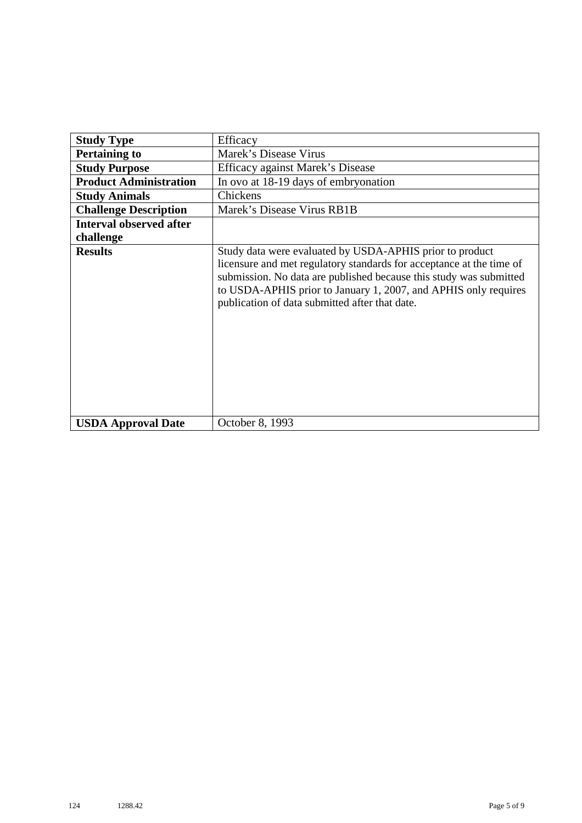| <b>Study Type</b>              | Efficacy                                                                                                                                                                                                                                                                                                                    |
|--------------------------------|-----------------------------------------------------------------------------------------------------------------------------------------------------------------------------------------------------------------------------------------------------------------------------------------------------------------------------|
| <b>Pertaining to</b>           | Marek's Disease Virus                                                                                                                                                                                                                                                                                                       |
| <b>Study Purpose</b>           | Efficacy against Marek's Disease                                                                                                                                                                                                                                                                                            |
| <b>Product Administration</b>  | In ovo at 18-19 days of embryonation                                                                                                                                                                                                                                                                                        |
| <b>Study Animals</b>           | Chickens                                                                                                                                                                                                                                                                                                                    |
| <b>Challenge Description</b>   | Marek's Disease Virus RB1B                                                                                                                                                                                                                                                                                                  |
| <b>Interval observed after</b> |                                                                                                                                                                                                                                                                                                                             |
| challenge                      |                                                                                                                                                                                                                                                                                                                             |
| <b>Results</b>                 | Study data were evaluated by USDA-APHIS prior to product<br>licensure and met regulatory standards for acceptance at the time of<br>submission. No data are published because this study was submitted<br>to USDA-APHIS prior to January 1, 2007, and APHIS only requires<br>publication of data submitted after that date. |
| <b>USDA Approval Date</b>      | October 8, 1993                                                                                                                                                                                                                                                                                                             |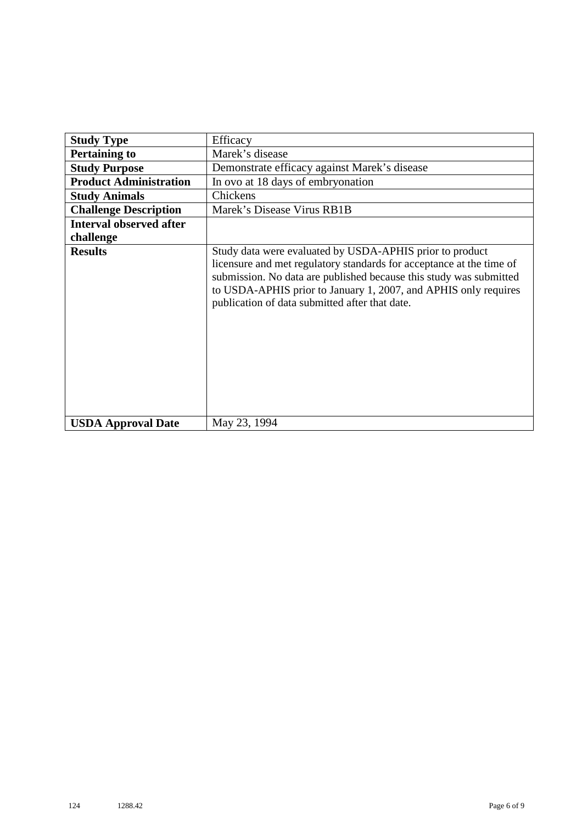| <b>Study Type</b>              | Efficacy                                                                                                                                                                                                                                                                                                                    |
|--------------------------------|-----------------------------------------------------------------------------------------------------------------------------------------------------------------------------------------------------------------------------------------------------------------------------------------------------------------------------|
| <b>Pertaining to</b>           | Marek's disease                                                                                                                                                                                                                                                                                                             |
| <b>Study Purpose</b>           | Demonstrate efficacy against Marek's disease                                                                                                                                                                                                                                                                                |
| <b>Product Administration</b>  | In ovo at 18 days of embryonation                                                                                                                                                                                                                                                                                           |
| <b>Study Animals</b>           | Chickens                                                                                                                                                                                                                                                                                                                    |
| <b>Challenge Description</b>   | Marek's Disease Virus RB1B                                                                                                                                                                                                                                                                                                  |
| <b>Interval observed after</b> |                                                                                                                                                                                                                                                                                                                             |
| challenge                      |                                                                                                                                                                                                                                                                                                                             |
| <b>Results</b>                 | Study data were evaluated by USDA-APHIS prior to product<br>licensure and met regulatory standards for acceptance at the time of<br>submission. No data are published because this study was submitted<br>to USDA-APHIS prior to January 1, 2007, and APHIS only requires<br>publication of data submitted after that date. |
| <b>USDA Approval Date</b>      | May 23, 1994                                                                                                                                                                                                                                                                                                                |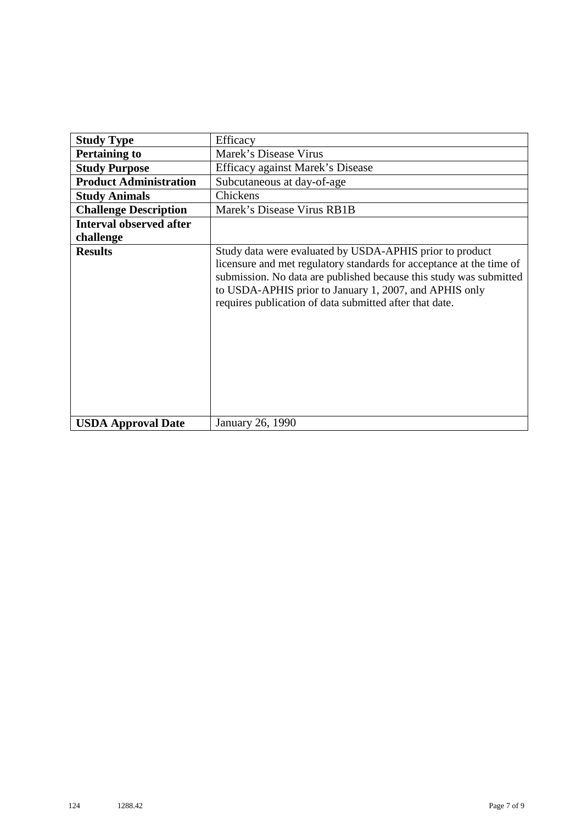| <b>Study Type</b>              | Efficacy                                                                                                                                                                                                                                                                                                                    |
|--------------------------------|-----------------------------------------------------------------------------------------------------------------------------------------------------------------------------------------------------------------------------------------------------------------------------------------------------------------------------|
| <b>Pertaining to</b>           | Marek's Disease Virus                                                                                                                                                                                                                                                                                                       |
| <b>Study Purpose</b>           | Efficacy against Marek's Disease                                                                                                                                                                                                                                                                                            |
| <b>Product Administration</b>  | Subcutaneous at day-of-age                                                                                                                                                                                                                                                                                                  |
| <b>Study Animals</b>           | Chickens                                                                                                                                                                                                                                                                                                                    |
| <b>Challenge Description</b>   | Marek's Disease Virus RB1B                                                                                                                                                                                                                                                                                                  |
| <b>Interval observed after</b> |                                                                                                                                                                                                                                                                                                                             |
| challenge                      |                                                                                                                                                                                                                                                                                                                             |
| <b>Results</b>                 | Study data were evaluated by USDA-APHIS prior to product<br>licensure and met regulatory standards for acceptance at the time of<br>submission. No data are published because this study was submitted<br>to USDA-APHIS prior to January 1, 2007, and APHIS only<br>requires publication of data submitted after that date. |
| <b>USDA Approval Date</b>      | January 26, 1990                                                                                                                                                                                                                                                                                                            |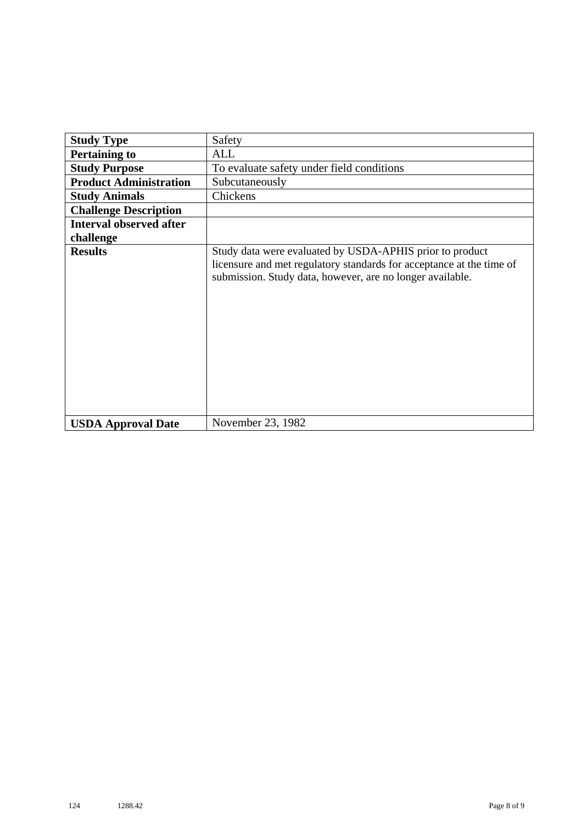| <b>Study Type</b>              | Safety                                                                                                                                                                                        |
|--------------------------------|-----------------------------------------------------------------------------------------------------------------------------------------------------------------------------------------------|
| <b>Pertaining to</b>           | ALL                                                                                                                                                                                           |
| <b>Study Purpose</b>           | To evaluate safety under field conditions                                                                                                                                                     |
| <b>Product Administration</b>  | Subcutaneously                                                                                                                                                                                |
| <b>Study Animals</b>           | Chickens                                                                                                                                                                                      |
| <b>Challenge Description</b>   |                                                                                                                                                                                               |
| <b>Interval observed after</b> |                                                                                                                                                                                               |
| challenge                      |                                                                                                                                                                                               |
| <b>Results</b>                 | Study data were evaluated by USDA-APHIS prior to product<br>licensure and met regulatory standards for acceptance at the time of<br>submission. Study data, however, are no longer available. |
| <b>USDA Approval Date</b>      | November 23, 1982                                                                                                                                                                             |